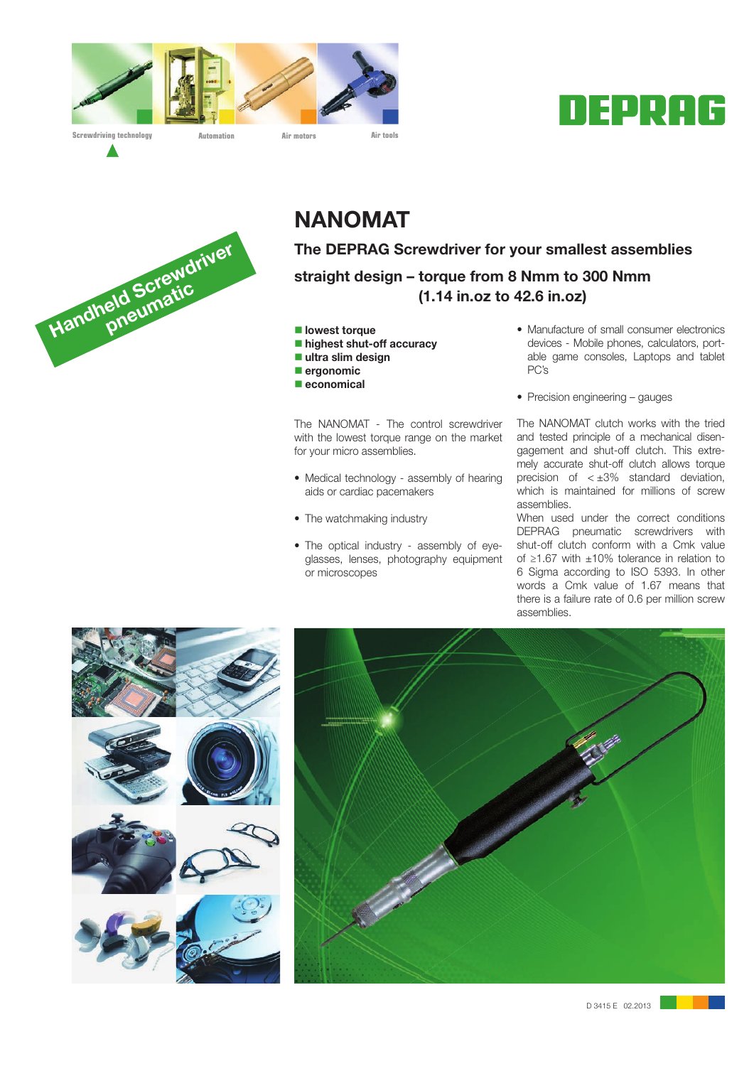





# NANOMAT

The DEPRAG Screwdriver for your smallest assemblies straight design – torque from 8 Nmm to 300 Nmm (1.14 in.oz to 42.6 in.oz)

- $\blacksquare$  lowest torque
- $\blacksquare$  highest shut-off accuracy
- $\blacksquare$  ultra slim design
- $\blacksquare$  ergonomic
- $\blacksquare$  economical

The NANOMAT - The control screwdriver with the lowest torque range on the market for your micro assemblies.

- Medical technology assembly of hearing aids or cardiac pacemakers
- The watchmaking industry
- The optical industry assembly of eyeglasses, lenses, photography equipment or microscopes
- Manufacture of small consumer electronics devices - Mobile phones, calculators, portable game consoles, Laptops and tablet PC's
- Precision engineering gauges

The NANOMAT clutch works with the tried and tested principle of a mechanical disengagement and shut-off clutch. This extremely accurate shut-off clutch allows torque precision of  $\lt \pm 3\%$  standard deviation, which is maintained for millions of screw assemblies.

When used under the correct conditions DEPRAG pneumatic screwdrivers with shut-off clutch conform with a Cmk value of ≥1.67 with ±10% tolerance in relation to 6 Sigma according to ISO 5393. In other words a Cmk value of 1.67 means that there is a failure rate of 0.6 per million screw assemblies.